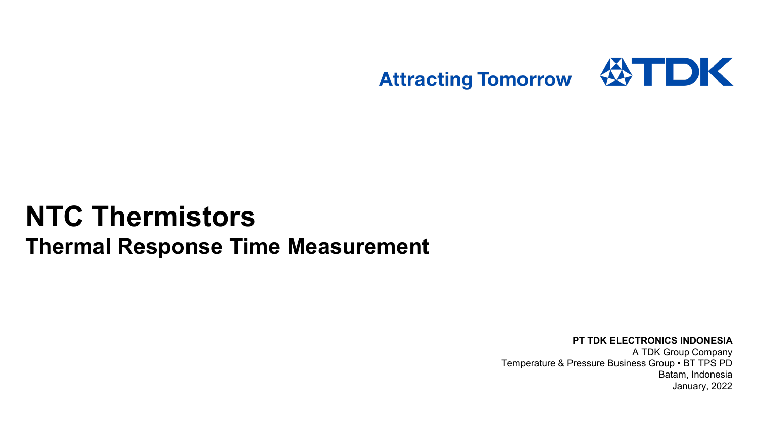

# **NTC Thermistors Thermal Response Time Measurement**

#### **PT TDK ELECTRONICS INDONESIA** A TDK Group Company Temperature & Pressure Business Group • BT TPS PD Batam, Indonesia

January, 2022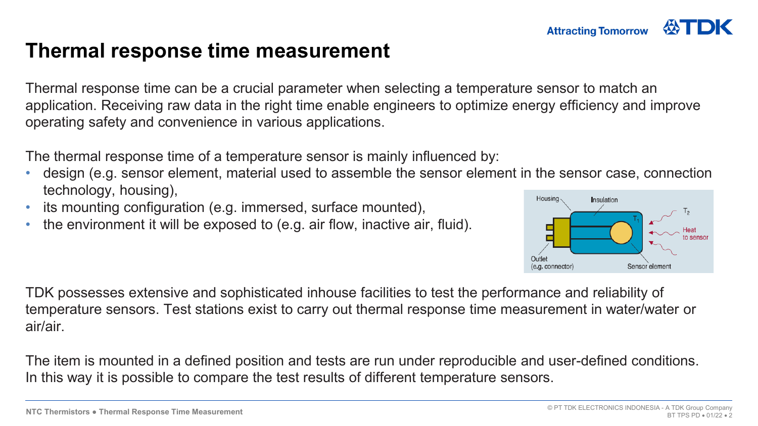#### **Thermal response time measurement**

Thermal response time can be a crucial parameter when selecting a temperature sensor to match an application. Receiving raw data in the right time enable engineers to optimize energy efficiency and improve operating safety and convenience in various applications.

The thermal response time of a temperature sensor is mainly influenced by:

- design (e.g. sensor element, material used to assemble the sensor element in the sensor case, connection technology, housing),
- its mounting configuration (e.g. immersed, surface mounted),
- the environment it will be exposed to (e.g. air flow, inactive air, fluid).



TDK possesses extensive and sophisticated inhouse facilities to test the performance and reliability of temperature sensors. Test stations exist to carry out thermal response time measurement in water/water or air/air.

The item is mounted in a defined position and tests are run under reproducible and user-defined conditions. In this way it is possible to compare the test results of different temperature sensors.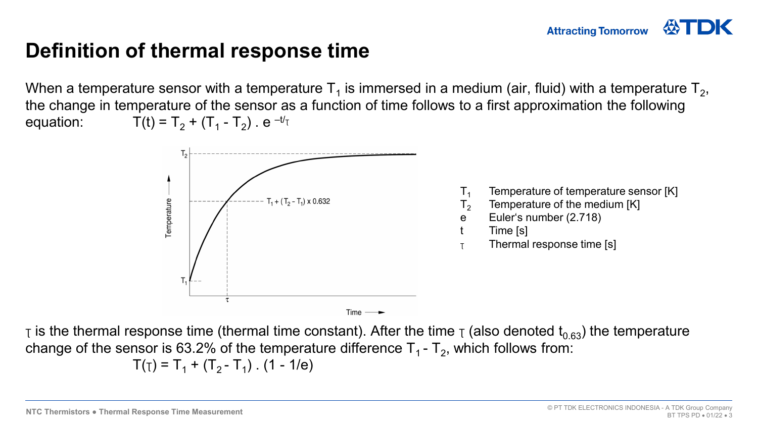#### **Attracting Tomorrow**

#### **Definition of thermal response time**

When a temperature sensor with a temperature  $T_1$  is immersed in a medium (air, fluid) with a temperature  $T_2$ , the change in temperature of the sensor as a function of time follows to a first approximation the following equation:  $T(t) = T_2 + (T_1 - T_2)$ . e  $-tT_1$ 



 $\tau$  is the thermal response time (thermal time constant). After the time  $\tau$  (also denoted t<sub>0.63</sub>) the temperature change of the sensor is 63.2% of the temperature difference  $T_1$  -  $T_2$ , which follows from:

$$
T(T) = T_1 + (T_2 - T_1)
$$
. (1 - 1/e)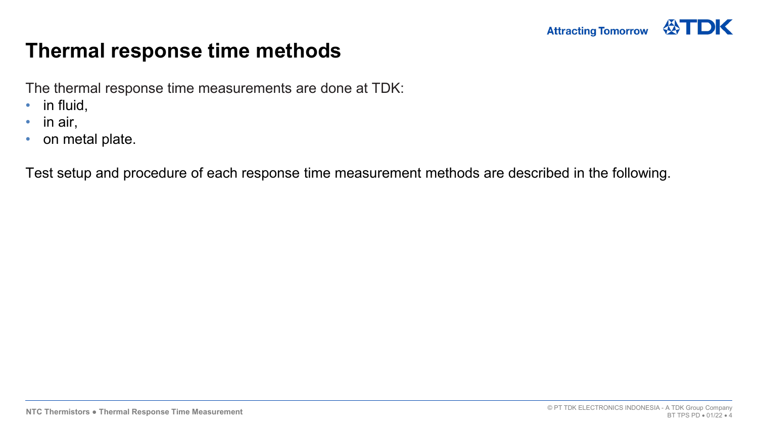

#### **Thermal response time methods**

The thermal response time measurements are done at TDK:

- in fluid,
- in air,
- on metal plate.

Test setup and procedure of each response time measurement methods are described in the following.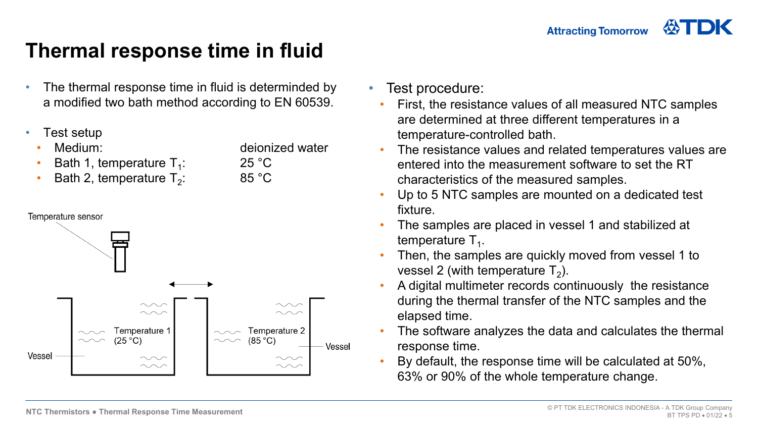## **Thermal response time in fluid**

- The thermal response time in fluid is determinded by a modified two bath method according to EN 60539.
- Test setup
	- Medium: deionized water
	- Bath 1, temperature  $T_1$ : 25 °C<br>Bath 2, temperature  $T_2$ : 25 °C
	- Bath 2, temperature  $T_2$ :



- Test procedure:
	- First, the resistance values of all measured NTC samples are determined at three different temperatures in a temperature-controlled bath.
- The resistance values and related temperatures values are entered into the measurement software to set the RT characteristics of the measured samples.
- Up to 5 NTC samples are mounted on a dedicated test fixture.
- The samples are placed in vessel 1 and stabilized at temperature  $T_1$ .
- Then, the samples are quickly moved from vessel 1 to vessel 2 (with temperature  $T_2$ ).
- A digital multimeter records continuously the resistance during the thermal transfer of the NTC samples and the elapsed time.
- The software analyzes the data and calculates the thermal response time.
- By default, the response time will be calculated at 50%, 63% or 90% of the whole temperature change.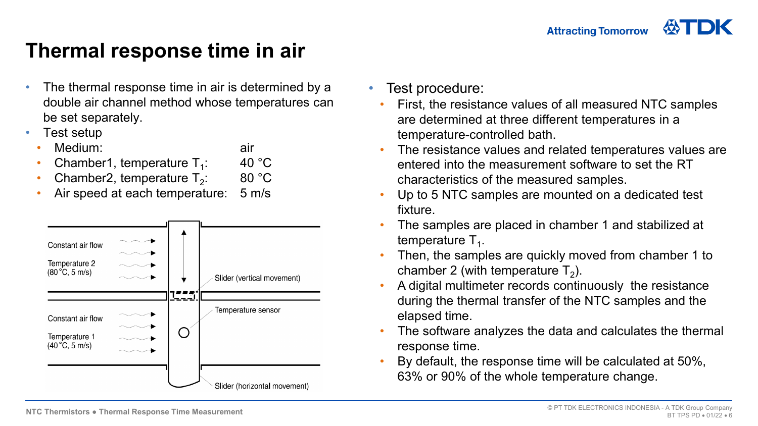## **Thermal response time in air**

- The thermal response time in air is determined by a double air channel method whose temperatures can be set separately.
- Test setup
	- **Medium:** air
	- Chamber1, temperature  $T_1$ : 40 °C<br>• Chamber2 temperature  $T_2$ : 80 °C
	- Chamber2, temperature  $T_2$ :
	- Air speed at each temperature: 5 m/s



- Test procedure:
	- First, the resistance values of all measured NTC samples are determined at three different temperatures in a temperature-controlled bath.
	- The resistance values and related temperatures values are entered into the measurement software to set the RT characteristics of the measured samples.
	- Up to 5 NTC samples are mounted on a dedicated test fixture.
	- The samples are placed in chamber 1 and stabilized at temperature  $T_1$ .
	- Then, the samples are quickly moved from chamber 1 to chamber 2 (with temperature  $T_2$ ).
	- A digital multimeter records continuously the resistance during the thermal transfer of the NTC samples and the elapsed time.
	- The software analyzes the data and calculates the thermal response time.
	- By default, the response time will be calculated at 50%, 63% or 90% of the whole temperature change.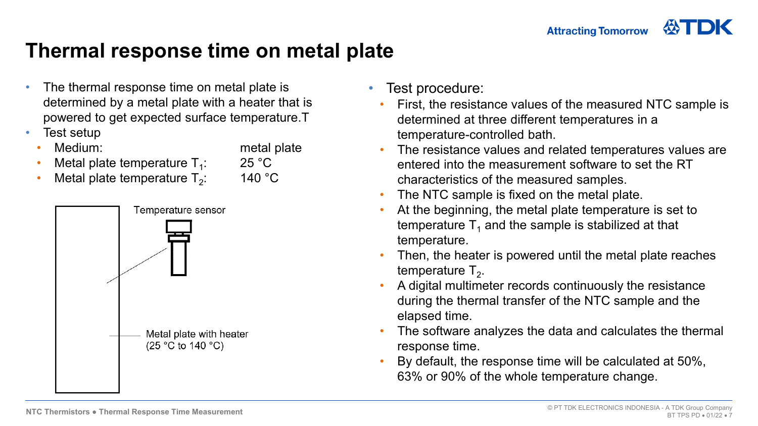### **Thermal response time on metal plate**

- The thermal response time on metal plate is determined by a metal plate with a heater that is powered to get expected surface temperature.T
- Test setup
	- - **Medium:** metal plate
	- Metal plate temperature  $T_1$ : 25 °C<br>Metal plate temperature  $T_2$ : 140 °C
	- Metal plate temperature  $T_2$ :



- Test procedure:
	- First, the resistance values of the measured NTC sample is determined at three different temperatures in a temperature-controlled bath.
- The resistance values and related temperatures values are entered into the measurement software to set the RT characteristics of the measured samples.
- The NTC sample is fixed on the metal plate.
- At the beginning, the metal plate temperature is set to temperature  $T_1$  and the sample is stabilized at that temperature.
- Then, the heater is powered until the metal plate reaches temperature  $T<sub>2</sub>$ .
- A digital multimeter records continuously the resistance during the thermal transfer of the NTC sample and the elapsed time.
- The software analyzes the data and calculates the thermal response time.
- By default, the response time will be calculated at 50%, 63% or 90% of the whole temperature change.